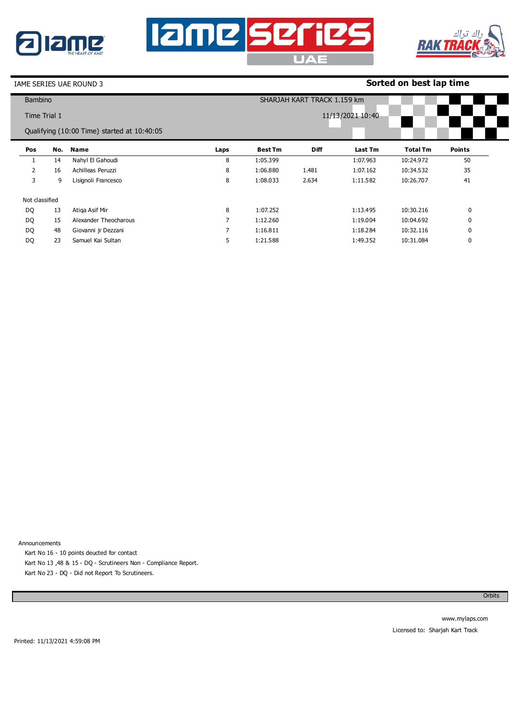





### IAME SERIES UAE ROUND 3

# **Sorted on best lap time**

| <b>Bambino</b> |     |                                             |                  |                | SHARJAH KART TRACK 1.159 km |          |                 |               |  |  |
|----------------|-----|---------------------------------------------|------------------|----------------|-----------------------------|----------|-----------------|---------------|--|--|
| Time Trial 1   |     |                                             | 11/13/2021 10:40 |                |                             |          |                 |               |  |  |
|                |     | Qualifying (10:00 Time) started at 10:40:05 |                  |                |                             |          |                 |               |  |  |
| Pos            | No. | Name                                        | Laps             | <b>Best Tm</b> | <b>Diff</b>                 | Last Tm  | <b>Total Tm</b> | <b>Points</b> |  |  |
|                | 14  | Nahyl El Gahoudi                            | 8                | 1:05.399       |                             | 1:07.963 | 10:24.972       | 50            |  |  |
| 2              | 16  | Achilleas Peruzzi                           | 8                | 1:06.880       | 1.481                       | 1:07.162 | 10:34.532       | 35            |  |  |
| 3              | 9   | Lisignoli Francesco                         | 8                | 1:08.033       | 2.634                       | 1:11.582 | 10:26.707       | 41            |  |  |
| Not classified |     |                                             |                  |                |                             |          |                 |               |  |  |
| DQ             | 13  | Atiga Asif Mir                              | 8                | 1:07.252       |                             | 1:13.495 | 10:30.216       | 0             |  |  |
| DQ             | 15  | Alexander Theocharous                       | 7                | 1:12.260       |                             | 1:19.004 | 10:04.692       | 0             |  |  |
| DQ             | 48  | Giovanni jr Dezzani                         | 7                | 1:16.811       |                             | 1:18.284 | 10:32.116       | 0             |  |  |
| DQ             | 23  | Samuel Kai Sultan                           | 5                | 1:21.588       |                             | 1:49.352 | 10:31.084       | 0             |  |  |

Announcements

Kart No 16 - 10 points deucted for contact Kart No 13 ,48 & 15 - DQ - Scrutineers Non - Compliance Report.

Kart No 23 - DQ - Did not Report To Scrutineers.

**Orbits**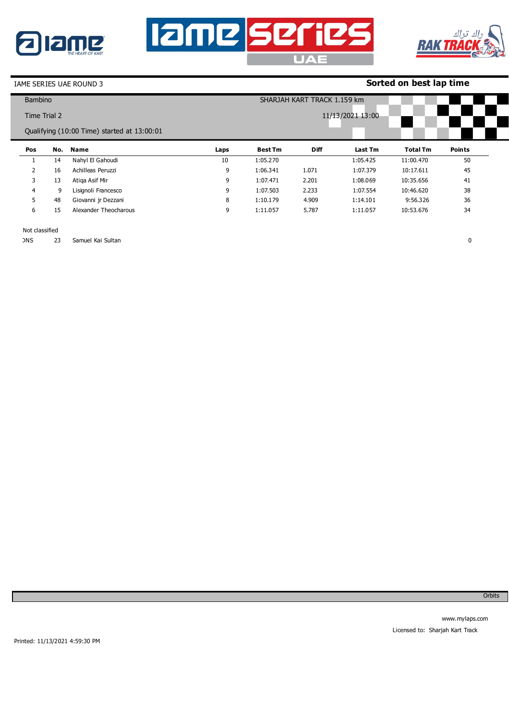





0

# IAME SERIES UAE ROUND 3

# **Sorted on best lap time**

| <b>Bambino</b> |     |                                             | SHARJAH KART TRACK 1.159 km |                  |             |          |                 |               |  |  |
|----------------|-----|---------------------------------------------|-----------------------------|------------------|-------------|----------|-----------------|---------------|--|--|
| Time Trial 2   |     |                                             |                             | 11/13/2021 13:00 |             |          |                 |               |  |  |
|                |     | Qualifying (10:00 Time) started at 13:00:01 |                             |                  |             |          |                 |               |  |  |
| Pos            | No. | Name                                        | Laps                        | <b>Best Tm</b>   | <b>Diff</b> | Last Tm  | <b>Total Tm</b> | <b>Points</b> |  |  |
|                | 14  | Nahyl El Gahoudi                            | 10                          | 1:05.270         |             | 1:05.425 | 11:00.470       | 50            |  |  |
| $\overline{2}$ | 16  | Achilleas Peruzzi                           | 9                           | 1:06.341         | 1.071       | 1:07.379 | 10:17.611       | 45            |  |  |
| 3              | 13  | Atiga Asif Mir                              | 9                           | 1:07.471         | 2.201       | 1:08.069 | 10:35.656       | 41            |  |  |
| 4              | 9   | Lisignoli Francesco                         | 9                           | 1:07.503         | 2.233       | 1:07.554 | 10:46.620       | 38            |  |  |
| 5.             | 48  | Giovanni jr Dezzani                         | 8                           | 1:10.179         | 4.909       | 1:14.101 | 9:56.326        | 36            |  |  |
| 6              | 15  | Alexander Theocharous                       | 9                           | 1:11.057         | 5.787       | 1:11.057 | 10:53.676       | 34            |  |  |

### Not classified

DNS 23 Samuel Kai Sultan

**Orbits**